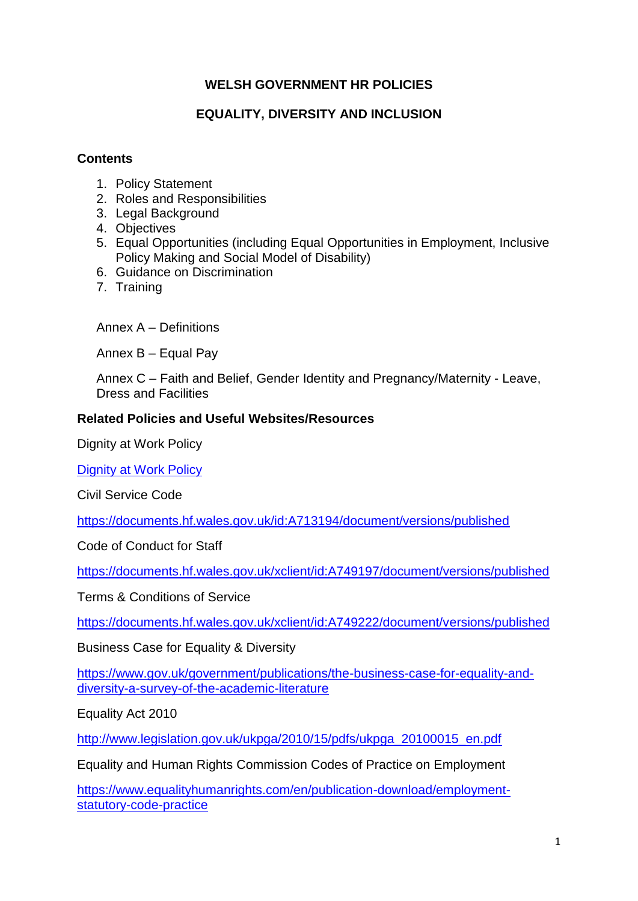# **WELSH GOVERNMENT HR POLICIES**

# **EQUALITY, DIVERSITY AND INCLUSION**

#### **Contents**

- 1. Policy Statement
- 2. Roles and Responsibilities
- 3. Legal Background
- 4. Objectives
- 5. Equal Opportunities (including Equal Opportunities in Employment, Inclusive Policy Making and Social Model of Disability)
- 6. Guidance on Discrimination
- 7. Training

Annex A – Definitions

Annex B – Equal Pay

Annex C – Faith and Belief, Gender Identity and Pregnancy/Maternity - Leave, Dress and Facilities

#### **Related Policies and Useful Websites/Resources**

Dignity at Work Policy

[Dignity at Work Policy](https://documents.hf.wales.gov.uk/id:A629510/document/versions/published)

Civil Service Code

<https://documents.hf.wales.gov.uk/id:A713194/document/versions/published>

Code of Conduct for Staff

<https://documents.hf.wales.gov.uk/xclient/id:A749197/document/versions/published>

Terms & Conditions of Service

<https://documents.hf.wales.gov.uk/xclient/id:A749222/document/versions/published>

Business Case for Equality & Diversity

[https://www.gov.uk/government/publications/the-business-case-for-equality-and](https://www.gov.uk/government/publications/the-business-case-for-equality-and-diversity-a-survey-of-the-academic-literature)[diversity-a-survey-of-the-academic-literature](https://www.gov.uk/government/publications/the-business-case-for-equality-and-diversity-a-survey-of-the-academic-literature)

Equality Act 2010

[http://www.legislation.gov.uk/ukpga/2010/15/pdfs/ukpga\\_20100015\\_en.pdf](http://www.legislation.gov.uk/ukpga/2010/15/pdfs/ukpga_20100015_en.pdf)

Equality and Human Rights Commission Codes of Practice on Employment

[https://www.equalityhumanrights.com/en/publication-download/employment](https://www.equalityhumanrights.com/en/publication-download/employment-statutory-code-practice)[statutory-code-practice](https://www.equalityhumanrights.com/en/publication-download/employment-statutory-code-practice)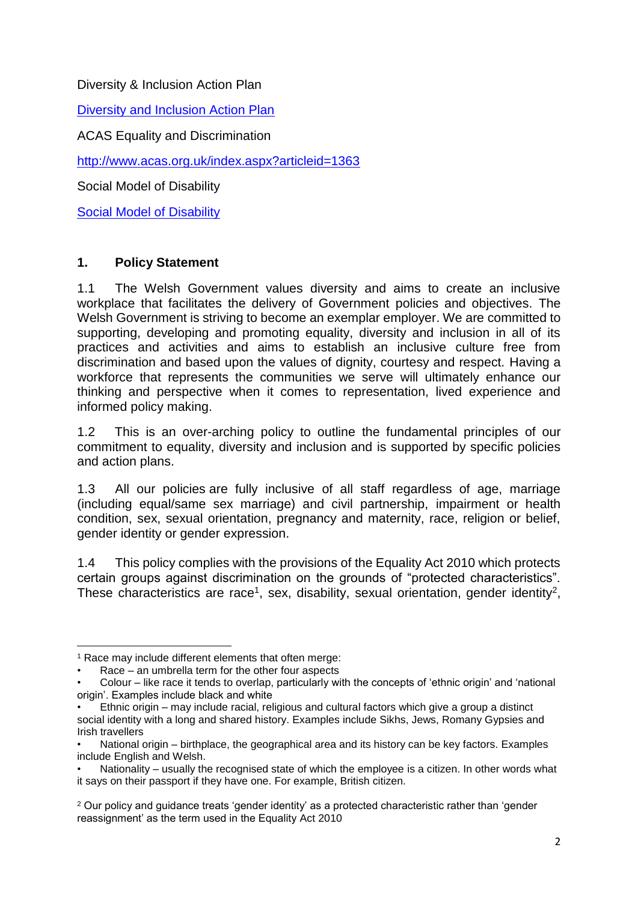Diversity & Inclusion Action Plan

**[Diversity and Inclusion Action Plan](https://documents.hf.wales.gov.uk/id:A18101626/document/versions/published)** 

ACAS Equality and Discrimination

<http://www.acas.org.uk/index.aspx?articleid=1363>

Social Model of Disability

[Social Model of Disability](https://documents.hf.wales.gov.uk/id:A28250838/document/versions/published)

# **1. Policy Statement**

1.1 The Welsh Government values diversity and aims to create an inclusive workplace that facilitates the delivery of Government policies and objectives. The Welsh Government is striving to become an exemplar employer. We are committed to supporting, developing and promoting equality, diversity and inclusion in all of its practices and activities and aims to establish an inclusive culture free from discrimination and based upon the values of dignity, courtesy and respect. Having a workforce that represents the communities we serve will ultimately enhance our thinking and perspective when it comes to representation, lived experience and informed policy making.

1.2 This is an over-arching policy to outline the fundamental principles of our commitment to equality, diversity and inclusion and is supported by specific policies and action plans.

1.3 All our policies are fully inclusive of all staff regardless of age, marriage (including equal/same sex marriage) and civil partnership, impairment or health condition, sex, sexual orientation, pregnancy and maternity, race, religion or belief, gender identity or gender expression.

1.4 This policy complies with the provisions of the Equality Act 2010 which protects certain groups against discrimination on the grounds of "protected characteristics". These characteristics are race<sup>1</sup>, sex, disability, sexual orientation, gender identity<sup>2</sup>,

**.** 

<sup>&</sup>lt;sup>1</sup> Race may include different elements that often merge:

Race – an umbrella term for the other four aspects

<sup>•</sup> Colour – like race it tends to overlap, particularly with the concepts of 'ethnic origin' and 'national origin'. Examples include black and white

<sup>•</sup> Ethnic origin – may include racial, religious and cultural factors which give a group a distinct social identity with a long and shared history. Examples include Sikhs, Jews, Romany Gypsies and Irish travellers

<sup>•</sup> National origin – birthplace, the geographical area and its history can be key factors. Examples include English and Welsh.

Nationality – usually the recognised state of which the employee is a citizen. In other words what it says on their passport if they have one. For example, British citizen.

<sup>&</sup>lt;sup>2</sup> Our policy and guidance treats 'gender identity' as a protected characteristic rather than 'gender reassignment' as the term used in the Equality Act 2010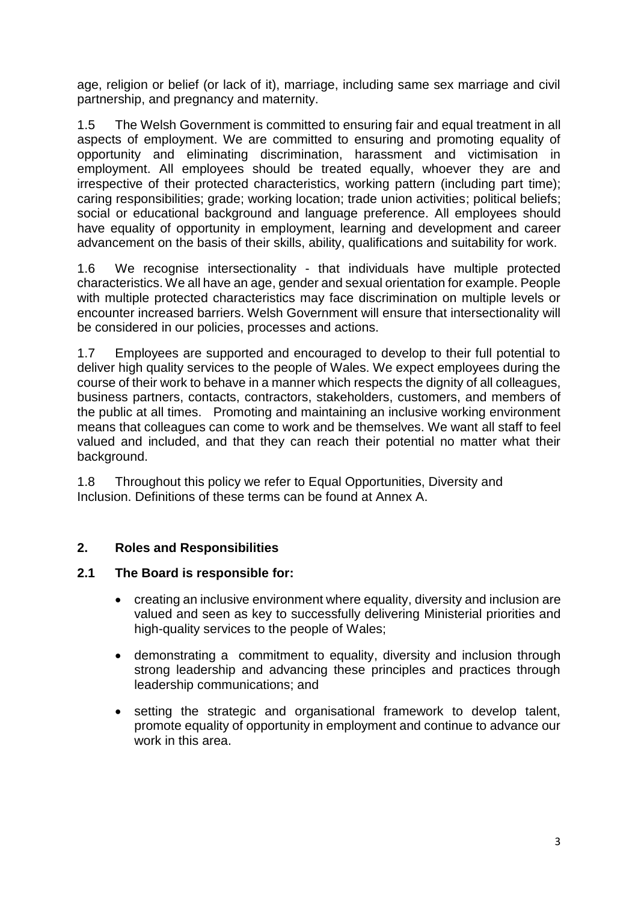age, religion or belief (or lack of it), marriage, including same sex marriage and civil partnership, and pregnancy and maternity.

1.5 The Welsh Government is committed to ensuring fair and equal treatment in all aspects of employment. We are committed to ensuring and promoting equality of opportunity and eliminating discrimination, harassment and victimisation in employment. All employees should be treated equally, whoever they are and irrespective of their protected characteristics, working pattern (including part time); caring responsibilities; grade; working location; trade union activities; political beliefs; social or educational background and language preference. All employees should have equality of opportunity in employment, learning and development and career advancement on the basis of their skills, ability, qualifications and suitability for work.

1.6 We recognise intersectionality - that individuals have multiple protected characteristics. We all have an age, gender and sexual orientation for example. People with multiple protected characteristics may face discrimination on multiple levels or encounter increased barriers. Welsh Government will ensure that intersectionality will be considered in our policies, processes and actions.

1.7 Employees are supported and encouraged to develop to their full potential to deliver high quality services to the people of Wales. We expect employees during the course of their work to behave in a manner which respects the dignity of all colleagues, business partners, contacts, contractors, stakeholders, customers, and members of the public at all times. Promoting and maintaining an inclusive working environment means that colleagues can come to work and be themselves. We want all staff to feel valued and included, and that they can reach their potential no matter what their background.

1.8 Throughout this policy we refer to Equal Opportunities, Diversity and Inclusion. Definitions of these terms can be found at Annex A.

# **2. Roles and Responsibilities**

# **2.1 The Board is responsible for:**

- creating an inclusive environment where equality, diversity and inclusion are valued and seen as key to successfully delivering Ministerial priorities and high-quality services to the people of Wales;
- demonstrating a commitment to equality, diversity and inclusion through strong leadership and advancing these principles and practices through leadership communications; and
- setting the strategic and organisational framework to develop talent, promote equality of opportunity in employment and continue to advance our work in this area.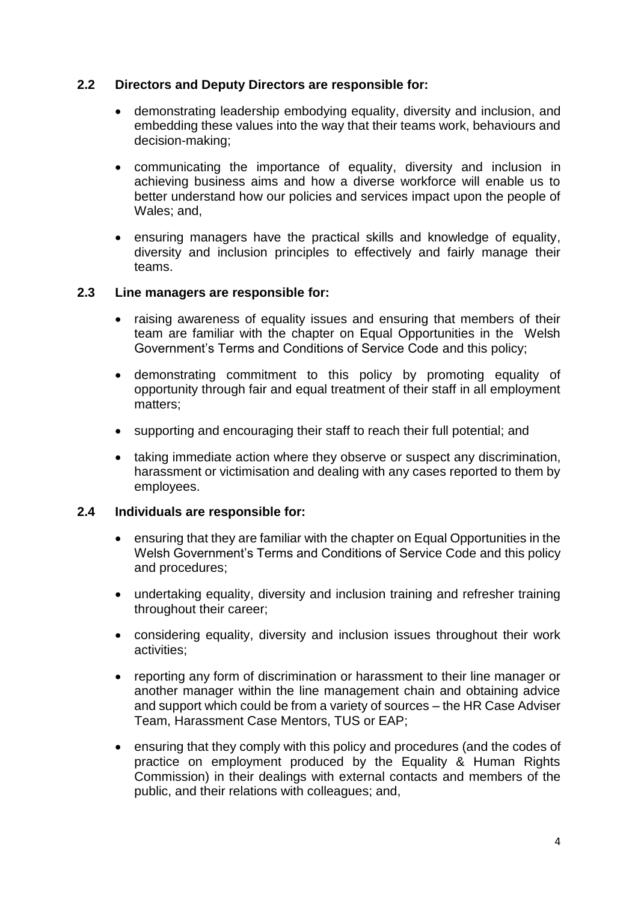#### **2.2 Directors and Deputy Directors are responsible for:**

- demonstrating leadership embodying equality, diversity and inclusion, and embedding these values into the way that their teams work, behaviours and decision-making;
- communicating the importance of equality, diversity and inclusion in achieving business aims and how a diverse workforce will enable us to better understand how our policies and services impact upon the people of Wales; and,
- ensuring managers have the practical skills and knowledge of equality, diversity and inclusion principles to effectively and fairly manage their teams.

#### **2.3 Line managers are responsible for:**

- raising awareness of equality issues and ensuring that members of their team are familiar with the chapter on Equal Opportunities in the Welsh Government's Terms and Conditions of Service Code and this policy;
- demonstrating commitment to this policy by promoting equality of opportunity through fair and equal treatment of their staff in all employment matters;
- supporting and encouraging their staff to reach their full potential; and
- taking immediate action where they observe or suspect any discrimination, harassment or victimisation and dealing with any cases reported to them by employees.

#### **2.4 Individuals are responsible for:**

- ensuring that they are familiar with the chapter on Equal Opportunities in the Welsh Government's Terms and Conditions of Service Code and this policy and procedures;
- undertaking equality, diversity and inclusion training and refresher training throughout their career;
- considering equality, diversity and inclusion issues throughout their work activities;
- reporting any form of discrimination or harassment to their line manager or another manager within the line management chain and obtaining advice and support which could be from a variety of sources – the HR Case Adviser Team, Harassment Case Mentors, TUS or EAP;
- ensuring that they comply with this policy and procedures (and the codes of practice on employment produced by the Equality & Human Rights Commission) in their dealings with external contacts and members of the public, and their relations with colleagues; and,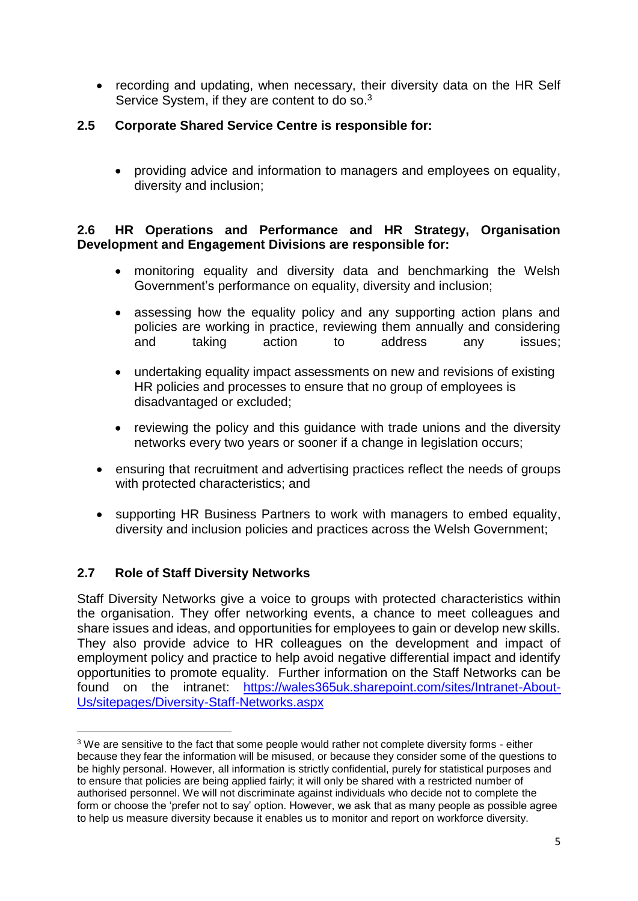• recording and updating, when necessary, their diversity data on the HR Self Service System, if they are content to do so.<sup>3</sup>

# **2.5 Corporate Shared Service Centre is responsible for:**

 providing advice and information to managers and employees on equality, diversity and inclusion;

#### **2.6 HR Operations and Performance and HR Strategy, Organisation Development and Engagement Divisions are responsible for:**

- monitoring equality and diversity data and benchmarking the Welsh Government's performance on equality, diversity and inclusion;
- assessing how the equality policy and any supporting action plans and policies are working in practice, reviewing them annually and considering and taking action to address any issues;
- undertaking equality impact assessments on new and revisions of existing HR policies and processes to ensure that no group of employees is disadvantaged or excluded;
- reviewing the policy and this guidance with trade unions and the diversity networks every two years or sooner if a change in legislation occurs;
- ensuring that recruitment and advertising practices reflect the needs of groups with protected characteristics; and
- supporting HR Business Partners to work with managers to embed equality, diversity and inclusion policies and practices across the Welsh Government;

# **2.7 Role of Staff Diversity Networks**

Staff Diversity Networks give a voice to groups with protected characteristics within the organisation. They offer networking events, a chance to meet colleagues and share issues and ideas, and opportunities for employees to gain or develop new skills. They also provide advice to HR colleagues on the development and impact of employment policy and practice to help avoid negative differential impact and identify opportunities to promote equality. Further information on the Staff Networks can be found on the intranet: [https://wales365uk.sharepoint.com/sites/Intranet-About-](https://wales365uk.sharepoint.com/sites/Intranet-About-Us/sitepages/Diversity-Staff-Networks.aspx)[Us/sitepages/Diversity-Staff-Networks.aspx](https://wales365uk.sharepoint.com/sites/Intranet-About-Us/sitepages/Diversity-Staff-Networks.aspx)

**<sup>.</sup>** <sup>3</sup> We are sensitive to the fact that some people would rather not complete diversity forms - either because they fear the information will be misused, or because they consider some of the questions to be highly personal. However, all information is strictly confidential, purely for statistical purposes and to ensure that policies are being applied fairly; it will only be shared with a restricted number of authorised personnel. We will not discriminate against individuals who decide not to complete the form or choose the 'prefer not to say' option. However, we ask that as many people as possible agree to help us measure diversity because it enables us to monitor and report on workforce diversity.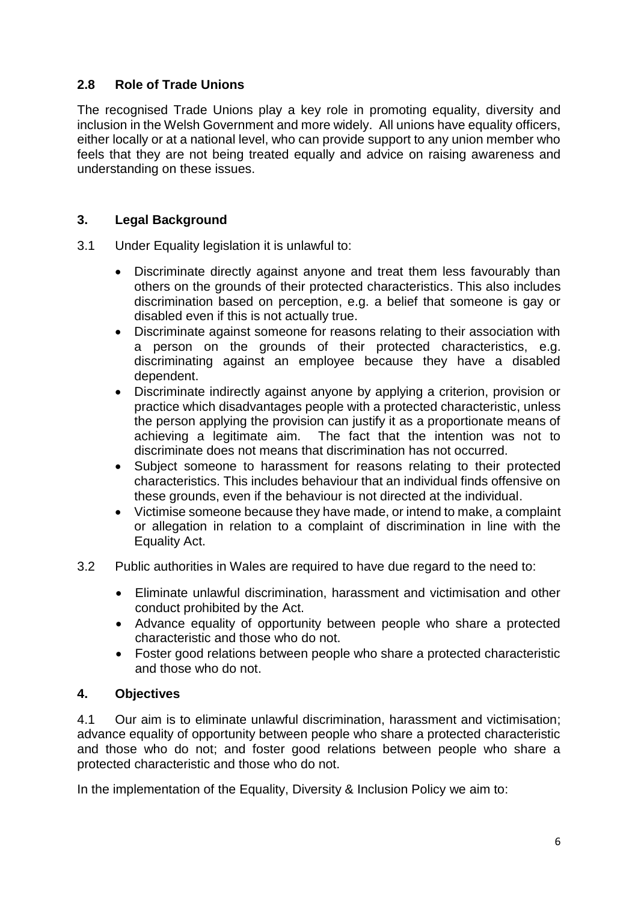# **2.8 Role of Trade Unions**

The recognised Trade Unions play a key role in promoting equality, diversity and inclusion in the Welsh Government and more widely. All unions have equality officers, either locally or at a national level, who can provide support to any union member who feels that they are not being treated equally and advice on raising awareness and understanding on these issues.

# **3. Legal Background**

- 3.1 Under Equality legislation it is unlawful to:
	- Discriminate directly against anyone and treat them less favourably than others on the grounds of their protected characteristics. This also includes discrimination based on perception, e.g. a belief that someone is gay or disabled even if this is not actually true.
	- Discriminate against someone for reasons relating to their association with a person on the grounds of their protected characteristics, e.g. discriminating against an employee because they have a disabled dependent.
	- Discriminate indirectly against anyone by applying a criterion, provision or practice which disadvantages people with a protected characteristic, unless the person applying the provision can justify it as a proportionate means of achieving a legitimate aim. The fact that the intention was not to discriminate does not means that discrimination has not occurred.
	- Subject someone to harassment for reasons relating to their protected characteristics. This includes behaviour that an individual finds offensive on these grounds, even if the behaviour is not directed at the individual.
	- Victimise someone because they have made, or intend to make, a complaint or allegation in relation to a complaint of discrimination in line with the Equality Act.
- 3.2 Public authorities in Wales are required to have due regard to the need to:
	- Eliminate unlawful discrimination, harassment and victimisation and other conduct prohibited by the Act.
	- Advance equality of opportunity between people who share a protected characteristic and those who do not.
	- Foster good relations between people who share a protected characteristic and those who do not.

# **4. Objectives**

4.1 Our aim is to eliminate unlawful discrimination, harassment and victimisation; advance equality of opportunity between people who share a protected characteristic and those who do not; and foster good relations between people who share a protected characteristic and those who do not.

In the implementation of the Equality, Diversity & Inclusion Policy we aim to: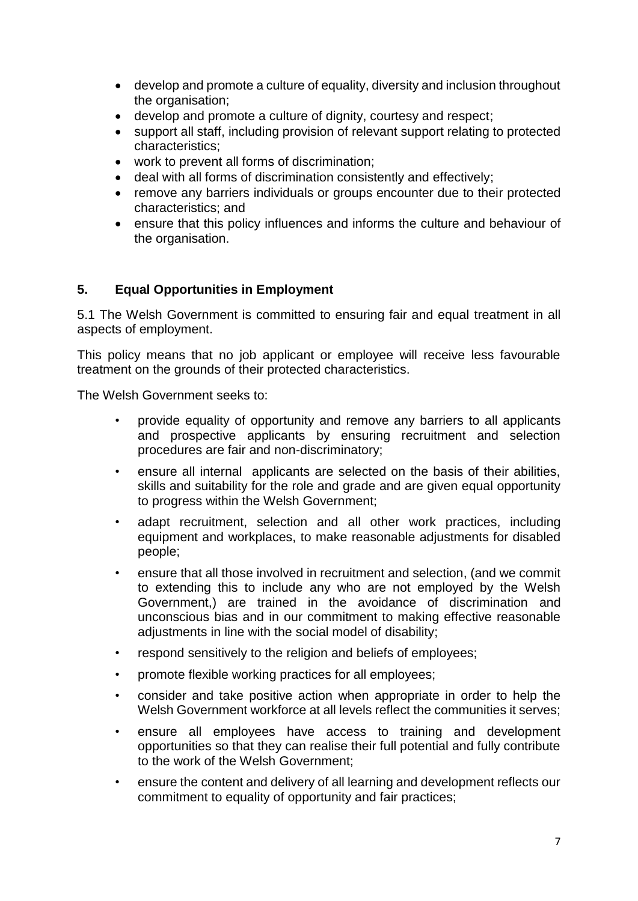- develop and promote a culture of equality, diversity and inclusion throughout the organisation;
- develop and promote a culture of dignity, courtesy and respect;
- support all staff, including provision of relevant support relating to protected characteristics;
- work to prevent all forms of discrimination;
- deal with all forms of discrimination consistently and effectively;
- remove any barriers individuals or groups encounter due to their protected characteristics; and
- ensure that this policy influences and informs the culture and behaviour of the organisation.

#### **5. Equal Opportunities in Employment**

5.1 The Welsh Government is committed to ensuring fair and equal treatment in all aspects of employment.

This policy means that no job applicant or employee will receive less favourable treatment on the grounds of their protected characteristics.

The Welsh Government seeks to:

- provide equality of opportunity and remove any barriers to all applicants and prospective applicants by ensuring recruitment and selection procedures are fair and non-discriminatory;
- ensure all internal applicants are selected on the basis of their abilities, skills and suitability for the role and grade and are given equal opportunity to progress within the Welsh Government;
- adapt recruitment, selection and all other work practices, including equipment and workplaces, to make reasonable adjustments for disabled people;
- ensure that all those involved in recruitment and selection, (and we commit to extending this to include any who are not employed by the Welsh Government,) are trained in the avoidance of discrimination and unconscious bias and in our commitment to making effective reasonable adjustments in line with the social model of disability;
- respond sensitively to the religion and beliefs of employees;
- promote flexible working practices for all employees;
- consider and take positive action when appropriate in order to help the Welsh Government workforce at all levels reflect the communities it serves;
- ensure all employees have access to training and development opportunities so that they can realise their full potential and fully contribute to the work of the Welsh Government;
- ensure the content and delivery of all learning and development reflects our commitment to equality of opportunity and fair practices;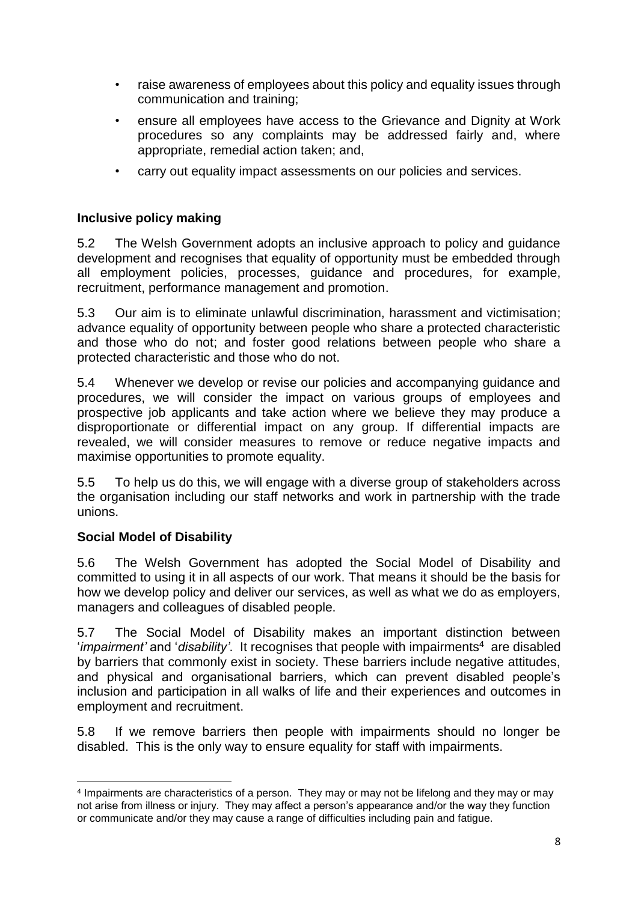- raise awareness of employees about this policy and equality issues through communication and training;
- ensure all employees have access to the Grievance and Dignity at Work procedures so any complaints may be addressed fairly and, where appropriate, remedial action taken; and,
- carry out equality impact assessments on our policies and services.

#### **Inclusive policy making**

5.2 The Welsh Government adopts an inclusive approach to policy and guidance development and recognises that equality of opportunity must be embedded through all employment policies, processes, guidance and procedures, for example, recruitment, performance management and promotion.

5.3 Our aim is to eliminate unlawful discrimination, harassment and victimisation; advance equality of opportunity between people who share a protected characteristic and those who do not; and foster good relations between people who share a protected characteristic and those who do not.

5.4 Whenever we develop or revise our policies and accompanying guidance and procedures, we will consider the impact on various groups of employees and prospective job applicants and take action where we believe they may produce a disproportionate or differential impact on any group. If differential impacts are revealed, we will consider measures to remove or reduce negative impacts and maximise opportunities to promote equality.

5.5 To help us do this, we will engage with a diverse group of stakeholders across the organisation including our staff networks and work in partnership with the trade unions.

# **Social Model of Disability**

5.6 The Welsh Government has adopted the Social Model of Disability and committed to using it in all aspects of our work. That means it should be the basis for how we develop policy and deliver our services, as well as what we do as employers, managers and colleagues of disabled people.

5.7 The Social Model of Disability makes an important distinction between '*impairment'* and '*disability'*. It recognises that people with impairments<sup>4</sup> are disabled by barriers that commonly exist in society. These barriers include negative attitudes, and physical and organisational barriers, which can prevent disabled people's inclusion and participation in all walks of life and their experiences and outcomes in employment and recruitment.

5.8 If we remove barriers then people with impairments should no longer be disabled. This is the only way to ensure equality for staff with impairments.

 $\overline{a}$ 4 Impairments are characteristics of a person. They may or may not be lifelong and they may or may not arise from illness or injury. They may affect a person's appearance and/or the way they function or communicate and/or they may cause a range of difficulties including pain and fatigue.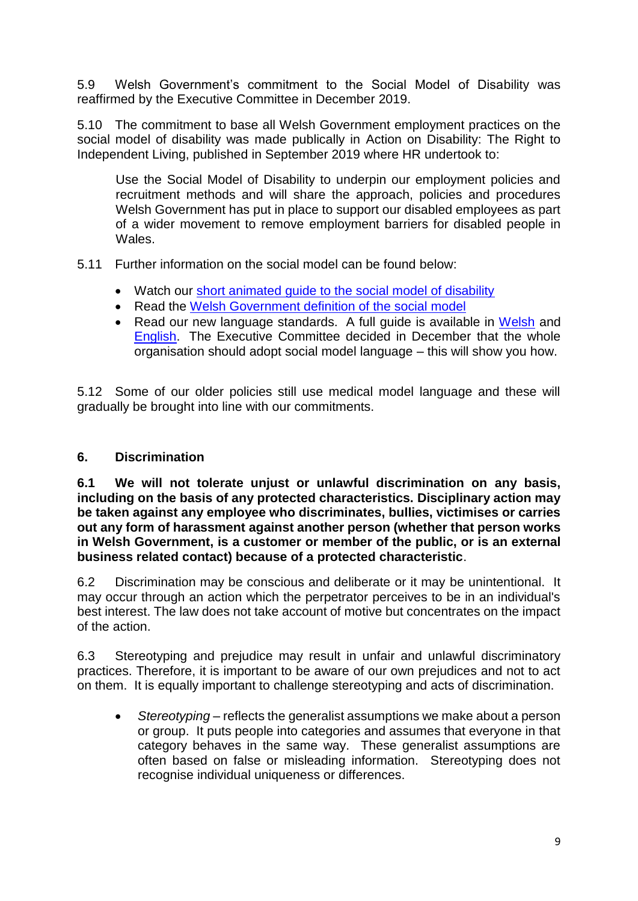5.9 Welsh Government's commitment to the Social Model of Disability was reaffirmed by the Executive Committee in December 2019.

5.10 The commitment to base all Welsh Government employment practices on the social model of disability was made publically in Action on Disability: The Right to Independent Living, published in September 2019 where HR undertook to:

Use the Social Model of Disability to underpin our employment policies and recruitment methods and will share the approach, policies and procedures Welsh Government has put in place to support our disabled employees as part of a wider movement to remove employment barriers for disabled people in Wales.

5.11 Further information on the social model can be found below:

- Watch our short animated quide to the social model of disability
- Read the [Welsh Government definition of the social model](https://eur01.safelinks.protection.outlook.com/?url=https%3A%2F%2Fdocuments.hf.wales.gov.uk%2Fid%3AA29177236%2Fdocument%2Fversions%2Fpublished&data=02%7C01%7CKatherine.Thomas%40gov.wales%7C23ae0f9c2810486494d608d7d49142b8%7Ca2cc36c592804ae78887d06dab89216b%7C0%7C0%7C637211592802226320&sdata=62Ck5Y6rm4iJD7us6UKxMnKbz43HogLruMHGwy4ziGw%3D&reserved=0)
- Read our new language standards. A full quide is available in [Welsh](https://eur01.safelinks.protection.outlook.com/?url=https%3A%2F%2Fdocuments.hf.wales.gov.uk%2Fid%3AA29176342%2Fdocument%2Fversions%2Fpublished&data=02%7C01%7CKatherine.Thomas%40gov.wales%7C23ae0f9c2810486494d608d7d49142b8%7Ca2cc36c592804ae78887d06dab89216b%7C0%7C0%7C637211592802226320&sdata=QzbA%2F7VVNNShnNCXdv3MgxWV8F1NbwYKwbJT%2B99zIb0%3D&reserved=0) and [English.](https://eur01.safelinks.protection.outlook.com/?url=https%3A%2F%2Fdocuments.hf.wales.gov.uk%2Fid%3AA28771208%2Fdocument%2Fversions%2Fpublished&data=02%7C01%7CKatherine.Thomas%40gov.wales%7C23ae0f9c2810486494d608d7d49142b8%7Ca2cc36c592804ae78887d06dab89216b%7C0%7C0%7C637211592802236274&sdata=qe%2F0cWVD0BUpvso%2Bi78BNqysKUe4pkBVJo1eTpf1mOA%3D&reserved=0) The Executive Committee decided in December that the whole organisation should adopt social model language – this will show you how.

5.12 Some of our older policies still use medical model language and these will gradually be brought into line with our commitments.

# **6. Discrimination**

**6.1 We will not tolerate unjust or unlawful discrimination on any basis, including on the basis of any protected characteristics. Disciplinary action may be taken against any employee who discriminates, bullies, victimises or carries out any form of harassment against another person (whether that person works in Welsh Government, is a customer or member of the public, or is an external business related contact) because of a protected characteristic**.

6.2 Discrimination may be conscious and deliberate or it may be unintentional. It may occur through an action which the perpetrator perceives to be in an individual's best interest. The law does not take account of motive but concentrates on the impact of the action.

6.3 Stereotyping and prejudice may result in unfair and unlawful discriminatory practices. Therefore, it is important to be aware of our own prejudices and not to act on them. It is equally important to challenge stereotyping and acts of discrimination.

 *Stereotyping –* reflects the generalist assumptions we make about a person or group. It puts people into categories and assumes that everyone in that category behaves in the same way. These generalist assumptions are often based on false or misleading information. Stereotyping does not recognise individual uniqueness or differences.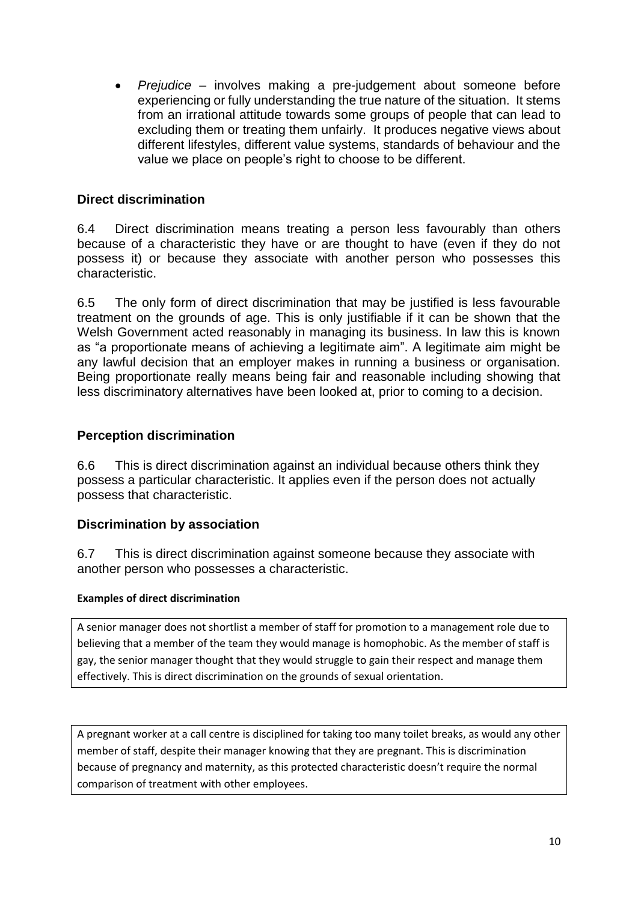*Prejudice –* involves making a pre-judgement about someone before experiencing or fully understanding the true nature of the situation. It stems from an irrational attitude towards some groups of people that can lead to excluding them or treating them unfairly. It produces negative views about different lifestyles, different value systems, standards of behaviour and the value we place on people's right to choose to be different.

# **Direct discrimination**

6.4 Direct discrimination means treating a person less favourably than others because of a characteristic they have or are thought to have (even if they do not possess it) or because they associate with another person who possesses this characteristic.

6.5 The only form of direct discrimination that may be justified is less favourable treatment on the grounds of age. This is only justifiable if it can be shown that the Welsh Government acted reasonably in managing its business. In law this is known as "a proportionate means of achieving a legitimate aim". A legitimate aim might be any lawful decision that an employer makes in running a business or organisation. Being proportionate really means being fair and reasonable including showing that less discriminatory alternatives have been looked at, prior to coming to a decision.

# **Perception discrimination**

6.6 This is direct discrimination against an individual because others think they possess a particular characteristic. It applies even if the person does not actually possess that characteristic.

# **Discrimination by association**

6.7 This is direct discrimination against someone because they associate with another person who possesses a characteristic.

#### **Examples of direct discrimination**

A senior manager does not shortlist a member of staff for promotion to a management role due to believing that a member of the team they would manage is homophobic. As the member of staff is gay, the senior manager thought that they would struggle to gain their respect and manage them effectively. This is direct discrimination on the grounds of sexual orientation.

A pregnant worker at a call centre is disciplined for taking too many toilet breaks, as would any other member of staff, despite their manager knowing that they are pregnant. This is discrimination because of pregnancy and maternity, as this protected characteristic doesn't require the normal comparison of treatment with other employees.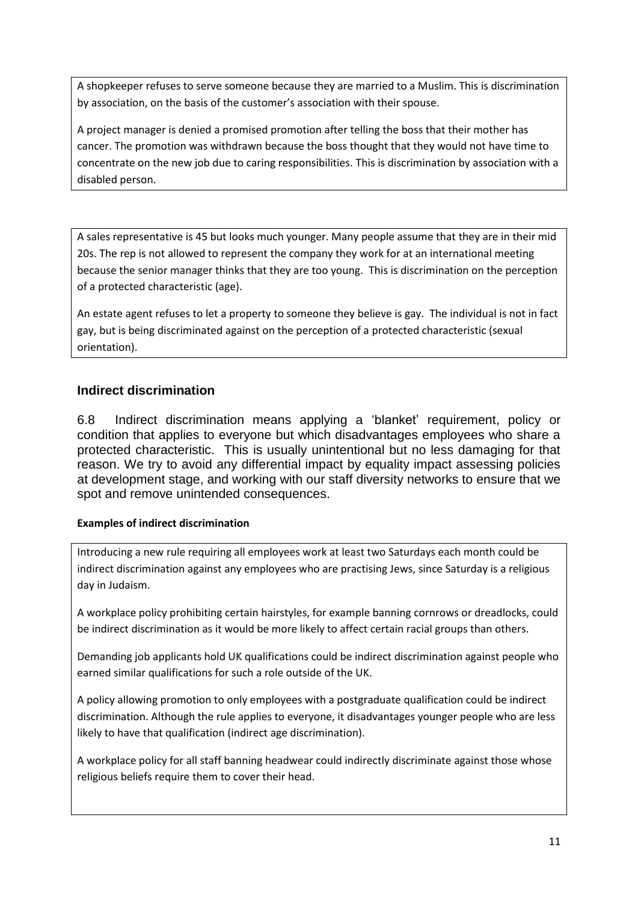A shopkeeper refuses to serve someone because they are married to a Muslim. This is discrimination by association, on the basis of the customer's association with their spouse.

A project manager is denied a promised promotion after telling the boss that their mother has cancer. The promotion was withdrawn because the boss thought that they would not have time to concentrate on the new job due to caring responsibilities. This is discrimination by association with a disabled person.

A sales representative is 45 but looks much younger. Many people assume that they are in their mid 20s. The rep is not allowed to represent the company they work for at an international meeting because the senior manager thinks that they are too young. This is discrimination on the perception of a protected characteristic (age).

An estate agent refuses to let a property to someone they believe is gay. The individual is not in fact gay, but is being discriminated against on the perception of a protected characteristic (sexual orientation).

#### **Indirect discrimination**

6.8 Indirect discrimination means applying a 'blanket' requirement, policy or condition that applies to everyone but which disadvantages employees who share a protected characteristic. This is usually unintentional but no less damaging for that reason. We try to avoid any differential impact by equality impact assessing policies at development stage, and working with our staff diversity networks to ensure that we spot and remove unintended consequences.

#### **Examples of indirect discrimination**

Introducing a new rule requiring all employees work at least two Saturdays each month could be indirect discrimination against any employees who are practising Jews, since Saturday is a religious day in Judaism.

A workplace policy prohibiting certain hairstyles, for example banning cornrows or dreadlocks, could be indirect discrimination as it would be more likely to affect certain racial groups than others.

Demanding job applicants hold UK qualifications could be indirect discrimination against people who earned similar qualifications for such a role outside of the UK.

A policy allowing promotion to only employees with a postgraduate qualification could be indirect discrimination. Although the rule applies to everyone, it disadvantages younger people who are less likely to have that qualification (indirect age discrimination).

A workplace policy for all staff banning headwear could indirectly discriminate against those whose religious beliefs require them to cover their head.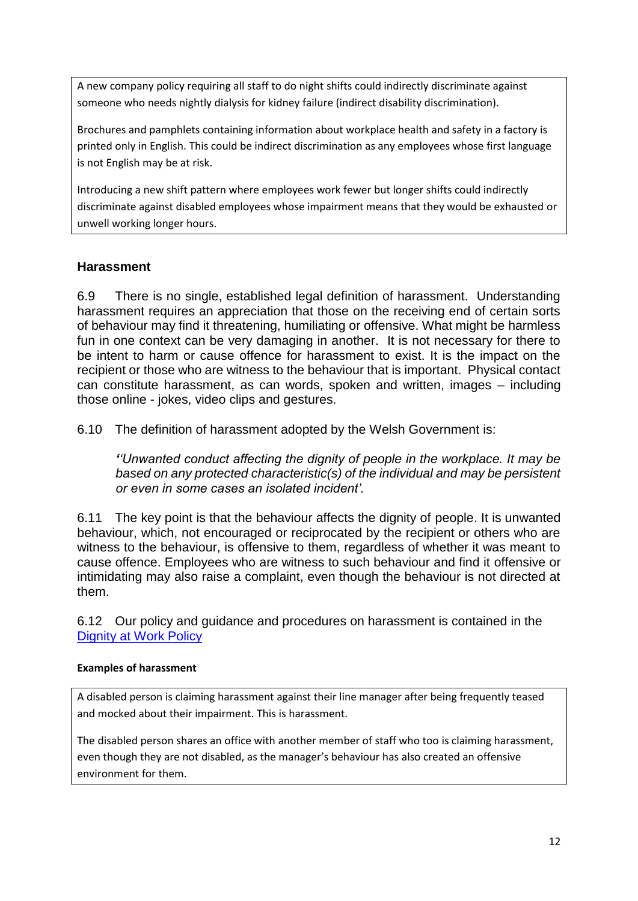A new company policy requiring all staff to do night shifts could indirectly discriminate against someone who needs nightly dialysis for kidney failure (indirect disability discrimination).

Brochures and pamphlets containing information about workplace health and safety in a factory is printed only in English. This could be indirect discrimination as any employees whose first language is not English may be at risk.

Introducing a new shift pattern where employees work fewer but longer shifts could indirectly discriminate against disabled employees whose impairment means that they would be exhausted or unwell working longer hours.

# **Harassment**

6.9 There is no single, established legal definition of harassment. Understanding harassment requires an appreciation that those on the receiving end of certain sorts of behaviour may find it threatening, humiliating or offensive. What might be harmless fun in one context can be very damaging in another. It is not necessary for there to be intent to harm or cause offence for harassment to exist. It is the impact on the recipient or those who are witness to the behaviour that is important. Physical contact can constitute harassment, as can words, spoken and written, images – including those online - jokes, video clips and gestures.

6.10 The definition of harassment adopted by the Welsh Government is:

*''Unwanted conduct affecting the dignity of people in the workplace. It may be based on any protected characteristic(s) of the individual and may be persistent or even in some cases an isolated incident'.*

6.11 The key point is that the behaviour affects the dignity of people. It is unwanted behaviour, which, not encouraged or reciprocated by the recipient or others who are witness to the behaviour, is offensive to them, regardless of whether it was meant to cause offence. Employees who are witness to such behaviour and find it offensive or intimidating may also raise a complaint, even though the behaviour is not directed at them.

6.12 Our policy and guidance and procedures on harassment is contained in the [Dignity at Work Policy](https://documents.hf.wales.gov.uk/id:A629510/document/versions/published)

#### **Examples of harassment**

A disabled person is claiming harassment against their line manager after being frequently teased and mocked about their impairment. This is harassment.

The disabled person shares an office with another member of staff who too is claiming harassment, even though they are not disabled, as the manager's behaviour has also created an offensive environment for them.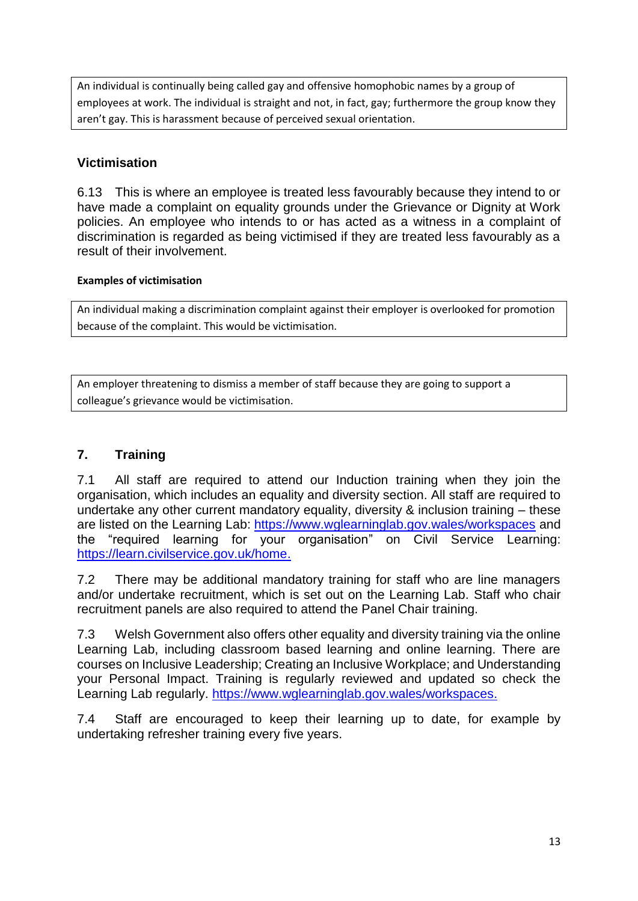An individual is continually being called gay and offensive homophobic names by a group of employees at work. The individual is straight and not, in fact, gay; furthermore the group know they aren't gay. This is harassment because of perceived sexual orientation.

# **Victimisation**

6.13 This is where an employee is treated less favourably because they intend to or have made a complaint on equality grounds under the Grievance or Dignity at Work policies. An employee who intends to or has acted as a witness in a complaint of discrimination is regarded as being victimised if they are treated less favourably as a result of their involvement.

#### **Examples of victimisation**

An individual making a discrimination complaint against their employer is overlooked for promotion because of the complaint. This would be victimisation.

An employer threatening to dismiss a member of staff because they are going to support a colleague's grievance would be victimisation.

# **7. Training**

7.1 All staff are required to attend our Induction training when they join the organisation, which includes an equality and diversity section. All staff are required to undertake any other current mandatory equality, diversity & inclusion training – these are listed on the Learning Lab: <https://www.wglearninglab.gov.wales/workspaces> and the "required learning for your organisation" on Civil Service Learning: [https://learn.civilservice.gov.uk/home.](https://learn.civilservice.gov.uk/home)

7.2 There may be additional mandatory training for staff who are line managers and/or undertake recruitment, which is set out on the Learning Lab. Staff who chair recruitment panels are also required to attend the Panel Chair training.

7.3 Welsh Government also offers other equality and diversity training via the online Learning Lab, including classroom based learning and online learning. There are courses on Inclusive Leadership; Creating an Inclusive Workplace; and Understanding your Personal Impact. Training is regularly reviewed and updated so check the Learning Lab regularly. [https://www.wglearninglab.gov.wales/workspaces.](https://www.wglearninglab.gov.wales/workspaces)

7.4 Staff are encouraged to keep their learning up to date, for example by undertaking refresher training every five years.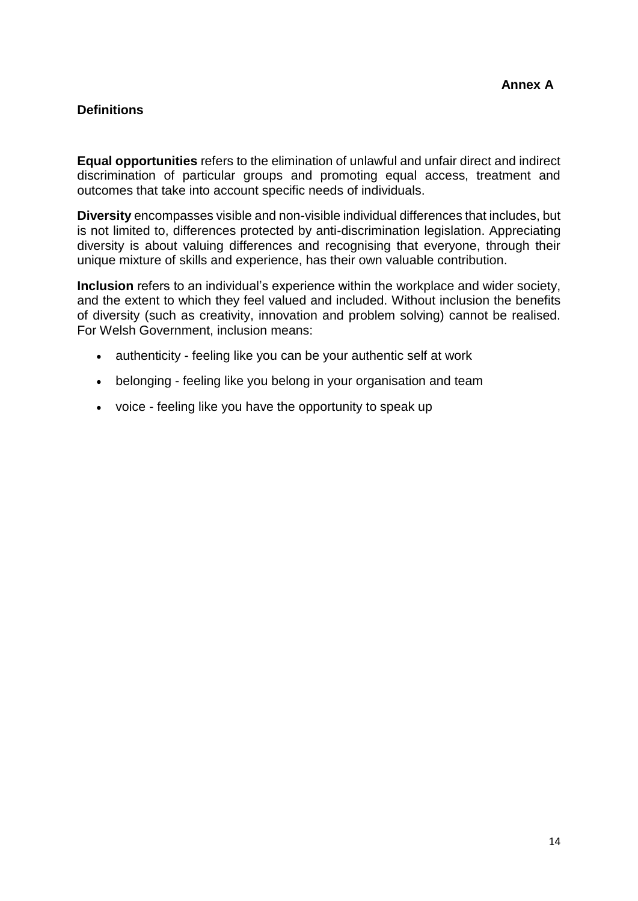# **Definitions**

**Equal opportunities** refers to the elimination of unlawful and unfair direct and indirect discrimination of particular groups and promoting equal access, treatment and outcomes that take into account specific needs of individuals.

**Diversity** encompasses visible and non-visible individual differences that includes, but is not limited to, differences protected by anti-discrimination legislation. Appreciating diversity is about valuing differences and recognising that everyone, through their unique mixture of skills and experience, has their own valuable contribution.

**Inclusion** refers to an individual's experience within the workplace and wider society, and the extent to which they feel valued and included. Without inclusion the benefits of diversity (such as creativity, innovation and problem solving) cannot be realised. For Welsh Government, inclusion means:

- authenticity feeling like you can be your authentic self at work
- belonging feeling like you belong in your organisation and team
- voice feeling like you have the opportunity to speak up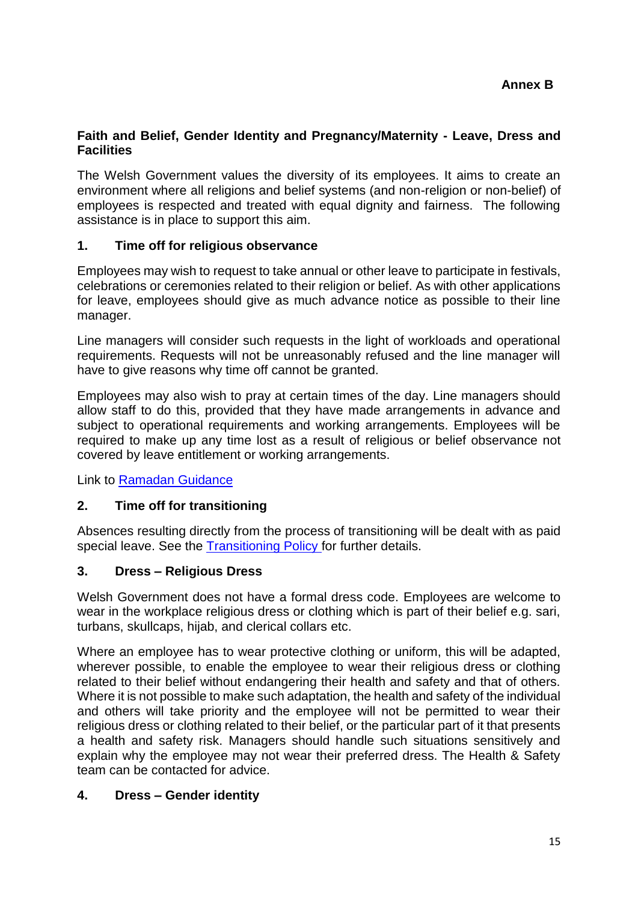#### **Faith and Belief, Gender Identity and Pregnancy/Maternity - Leave, Dress and Facilities**

The Welsh Government values the diversity of its employees. It aims to create an environment where all religions and belief systems (and non-religion or non-belief) of employees is respected and treated with equal dignity and fairness. The following assistance is in place to support this aim.

#### **1. Time off for religious observance**

Employees may wish to request to take annual or other leave to participate in festivals, celebrations or ceremonies related to their religion or belief. As with other applications for leave, employees should give as much advance notice as possible to their line manager.

Line managers will consider such requests in the light of workloads and operational requirements. Requests will not be unreasonably refused and the line manager will have to give reasons why time off cannot be granted.

Employees may also wish to pray at certain times of the day. Line managers should allow staff to do this, provided that they have made arrangements in advance and subject to operational requirements and working arrangements. Employees will be required to make up any time lost as a result of religious or belief observance not covered by leave entitlement or working arrangements.

Link to [Ramadan Guidance](https://documents.hf.wales.gov.uk/id:A24320417/document/versions/published)

# **2. Time off for transitioning**

Absences resulting directly from the process of transitioning will be dealt with as paid special leave. See the [Transitioning Policy](https://documents.hf.wales.gov.uk/id:A13398006/document/versions/published) for further details.

# **3. Dress – Religious Dress**

Welsh Government does not have a formal dress code. Employees are welcome to wear in the workplace religious dress or clothing which is part of their belief e.g. sari, turbans, skullcaps, hijab, and clerical collars etc.

Where an employee has to wear protective clothing or uniform, this will be adapted, wherever possible, to enable the employee to wear their religious dress or clothing related to their belief without endangering their health and safety and that of others. Where it is not possible to make such adaptation, the health and safety of the individual and others will take priority and the employee will not be permitted to wear their religious dress or clothing related to their belief, or the particular part of it that presents a health and safety risk. Managers should handle such situations sensitively and explain why the employee may not wear their preferred dress. The Health & Safety team can be contacted for advice.

# **4. Dress – Gender identity**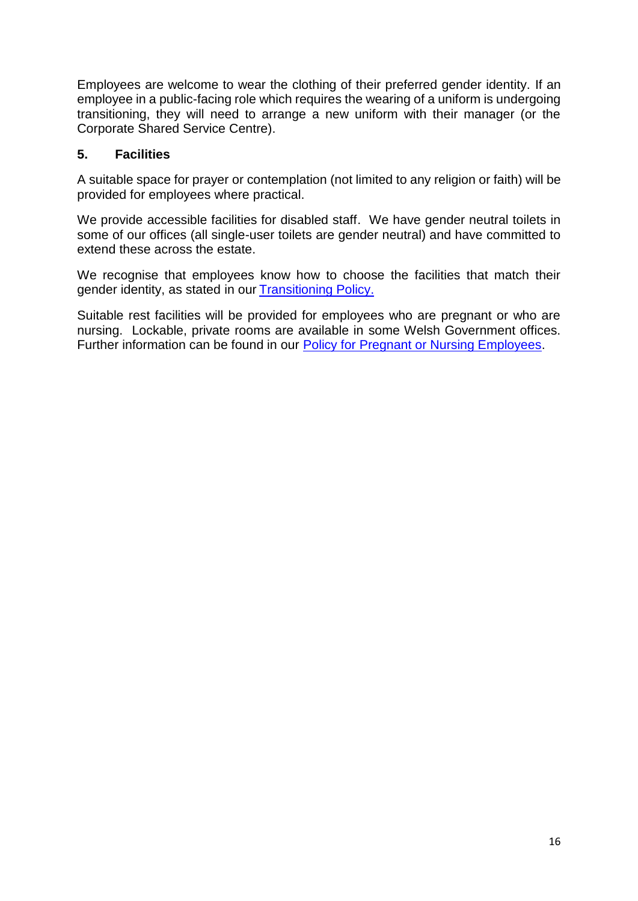Employees are welcome to wear the clothing of their preferred gender identity. If an employee in a public-facing role which requires the wearing of a uniform is undergoing transitioning, they will need to arrange a new uniform with their manager (or the Corporate Shared Service Centre).

#### **5. Facilities**

A suitable space for prayer or contemplation (not limited to any religion or faith) will be provided for employees where practical.

We provide accessible facilities for disabled staff. We have gender neutral toilets in some of our offices (all single-user toilets are gender neutral) and have committed to extend these across the estate.

We recognise that employees know how to choose the facilities that match their gender identity, as stated in our [Transitioning Policy.](https://documents.hf.wales.gov.uk/id:A13398006/document/versions/published)

Suitable rest facilities will be provided for employees who are pregnant or who are nursing. Lockable, private rooms are available in some Welsh Government offices. Further information can be found in our [Policy for Pregnant or Nursing Employees.](https://documents.hf.wales.gov.uk/xclient/id:A730891/document/versions/published)